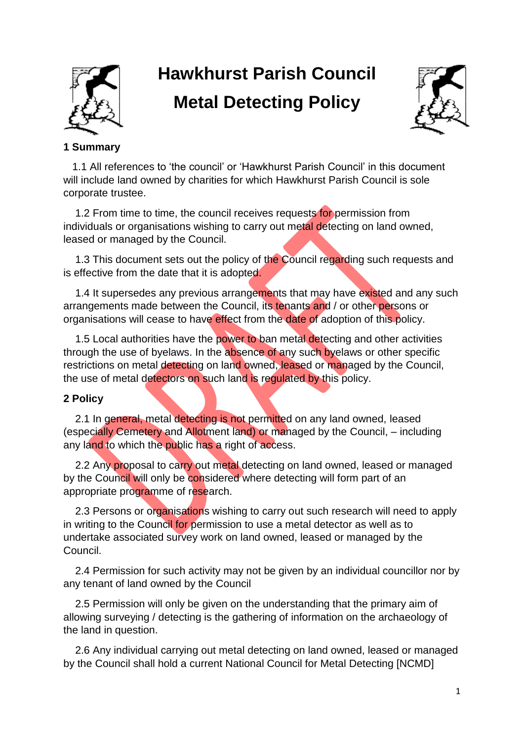

# **Hawkhurst Parish Council Metal Detecting Policy**



# **1 Summary**

 1.1 All references to 'the council' or 'Hawkhurst Parish Council' in this document will include land owned by charities for which Hawkhurst Parish Council is sole corporate trustee.

1.2 From time to time, the council receives requests for permission from individuals or organisations wishing to carry out metal detecting on land owned, leased or managed by the Council.

1.3 This document sets out the policy of the Council regarding such requests and is effective from the date that it is adopted.

1.4 It supersedes any previous arrangements that may have existed and any such arrangements made between the Council, its tenants and / or other persons or organisations will cease to have effect from the date of adoption of this policy.

1.5 Local authorities have the power to ban metal detecting and other activities through the use of byelaws. In the absence of any such byelaws or other specific restrictions on metal detecting on land owned, leased or managed by the Council, the use of metal detectors on such land is regulated by this policy.

## **2 Policy**

2.1 In general, metal detecting is not permitted on any land owned, leased (especially Cemetery and Allotment land) or managed by the Council, – including any land to which the public has a right of access.

2.2 Any proposal to carry out metal detecting on land owned, leased or managed by the Council will only be considered where detecting will form part of an appropriate programme of research.

2.3 Persons or organisations wishing to carry out such research will need to apply in writing to the Council for permission to use a metal detector as well as to undertake associated survey work on land owned, leased or managed by the Council.

 2.4 Permission for such activity may not be given by an individual councillor nor by any tenant of land owned by the Council

 2.5 Permission will only be given on the understanding that the primary aim of allowing surveying / detecting is the gathering of information on the archaeology of the land in question.

 2.6 Any individual carrying out metal detecting on land owned, leased or managed by the Council shall hold a current National Council for Metal Detecting [NCMD]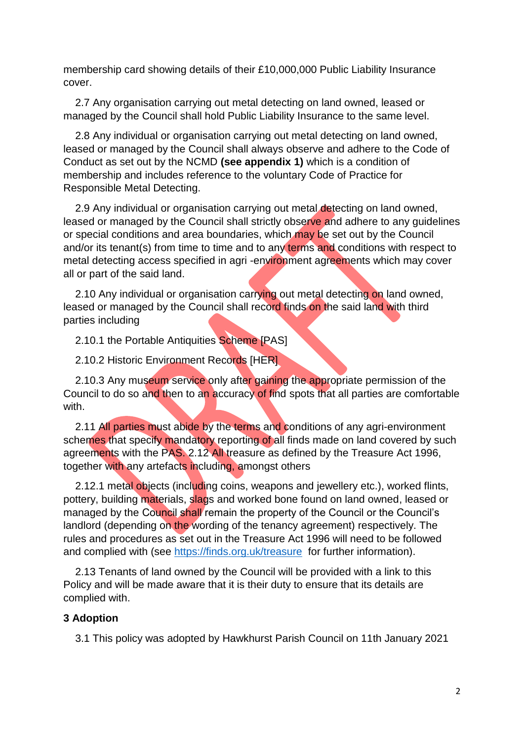membership card showing details of their £10,000,000 Public Liability Insurance cover.

 2.7 Any organisation carrying out metal detecting on land owned, leased or managed by the Council shall hold Public Liability Insurance to the same level.

 2.8 Any individual or organisation carrying out metal detecting on land owned, leased or managed by the Council shall always observe and adhere to the Code of Conduct as set out by the NCMD **(see appendix 1)** which is a condition of membership and includes reference to the voluntary Code of Practice for Responsible Metal Detecting.

2.9 Any individual or organisation carrying out metal detecting on land owned, leased or managed by the Council shall strictly observe and adhere to any guidelines or special conditions and area boundaries, which may be set out by the Council and/or its tenant(s) from time to time and to any terms and conditions with respect to metal detecting access specified in agri -environment agreements which may cover all or part of the said land.

2.10 Any individual or organisation carrying out metal detecting on land owned, leased or managed by the Council shall record finds on the said land with third parties including

2.10.1 the Portable Antiquities Scheme [PAS]

2.10.2 Historic Environment Records [HER]

 2.10.3 Any museum service only after gaining the appropriate permission of the Council to do so and then to an accuracy of find spots that all parties are comfortable with.

2.11 All parties must abide by the terms and conditions of any agri-environment schemes that specify mandatory reporting of all finds made on land covered by such agreements with the PAS. 2.12 All treasure as defined by the Treasure Act 1996, together with any artefacts including, amongst others

2.12.1 metal objects (including coins, weapons and jewellery etc.), worked flints, pottery, building materials, slags and worked bone found on land owned, leased or managed by the Council shall remain the property of the Council or the Council's landlord (depending on the wording of the tenancy agreement) respectively. The rules and procedures as set out in the Treasure Act 1996 will need to be followed and complied with (see<https://finds.org.uk/treasure> for further information).

 2.13 Tenants of land owned by the Council will be provided with a link to this Policy and will be made aware that it is their duty to ensure that its details are complied with.

#### **3 Adoption**

3.1 This policy was adopted by Hawkhurst Parish Council on 11th January 2021